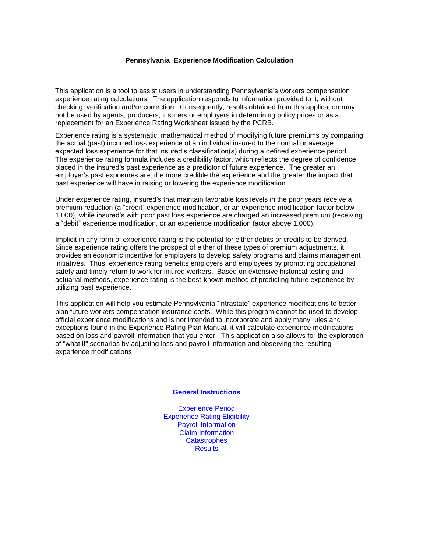#### **Pennsylvania Experience Modification Calculation**

This application is a tool to assist users in understanding Pennsylvania's workers compensation experience rating calculations. The application responds to information provided to it, without checking, verification and/or correction. Consequently, results obtained from this application may not be used by agents, producers, insurers or employers in determining policy prices or as a replacement for an Experience Rating Worksheet issued by the PCRB.

Experience rating is a systematic, mathematical method of modifying future premiums by comparing the actual (past) incurred loss experience of an individual insured to the normal or average expected loss experience for that insured's classification(s) during a defined experience period. The experience rating formula includes a credibility factor, which reflects the degree of confidence placed in the insured's past experience as a predictor of future experience. The greater an employer's past exposures are, the more credible the experience and the greater the impact that past experience will have in raising or lowering the experience modification.

Under experience rating, insured's that maintain favorable loss levels in the prior years receive a premium reduction (a "credit" experience modification, or an experience modification factor below 1.000), while insured's with poor past loss experience are charged an increased premium (receiving a "debit" experience modification, or an experience modification factor above 1.000).

Implicit in any form of experience rating is the potential for either debits or credits to be derived. Since experience rating offers the prospect of either of these types of premium adjustments, it provides an economic incentive for employers to develop safety programs and claims management initiatives. Thus, experience rating benefits employers and employees by promoting occupational safety and timely return to work for injured workers. Based on extensive historical testing and actuarial methods, experience rating is the best-known method of predicting future experience by utilizing past experience.

This application will help you estimate Pennsylvania "intrastate" experience modifications to better plan future workers compensation insurance costs. While this program cannot be used to develop official experience modifications and is not intended to incorporate and apply many rules and exceptions found in the Experience Rating Plan Manual, it will calculate experience modifications based on loss and payroll information that you enter. This application also allows for the exploration of "what if" scenarios by adjusting loss and payroll information and observing the resulting experience modifications.

### **General Instructions**

[Experience Period](#page-1-0) [Experience Rating Eligibility](#page-1-1) [Payroll Information](#page-1-2) [Claim Information](#page-2-0) **[Catastrophes](#page-2-1) [Results](#page-3-0)**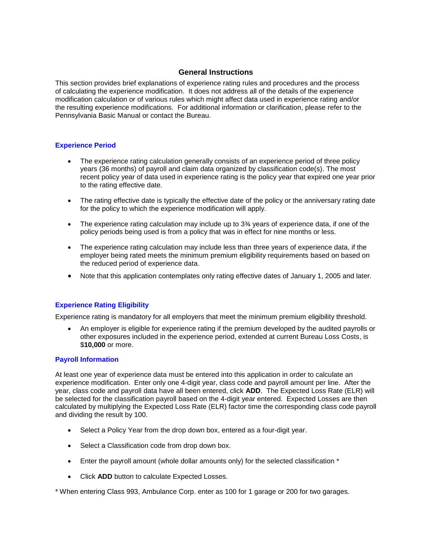### **General Instructions**

This section provides brief explanations of experience rating rules and procedures and the process of calculating the experience modification. It does not address all of the details of the experience modification calculation or of various rules which might affect data used in experience rating and/or the resulting experience modifications. For additional information or clarification, please refer to the Pennsylvania Basic Manual or contact the Bureau.

### <span id="page-1-0"></span>**Experience Period**

- The experience rating calculation generally consists of an experience period of three policy years (36 months) of payroll and claim data organized by classification code(s). The most recent policy year of data used in experience rating is the policy year that expired one year prior to the rating effective date.
- The rating effective date is typically the effective date of the policy or the anniversary rating date for the policy to which the experience modification will apply.
- The experience rating calculation may include up to  $3<sup>3</sup>$  years of experience data, if one of the policy periods being used is from a policy that was in effect for nine months or less.
- The experience rating calculation may include less than three years of experience data, if the employer being rated meets the minimum premium eligibility requirements based on based on the reduced period of experience data.
- Note that this application contemplates only rating effective dates of January 1, 2005 and later.

# <span id="page-1-1"></span>**Experience Rating Eligibility**

Experience rating is mandatory for all employers that meet the minimum premium eligibility threshold.

 An employer is eligible for experience rating if the premium developed by the audited payrolls or other exposures included in the experience period, extended at current Bureau Loss Costs, is \$**10,000** or more.

### <span id="page-1-2"></span>**Payroll Information**

At least one year of experience data must be entered into this application in order to calculate an experience modification. Enter only one 4-digit year, class code and payroll amount per line. After the year, class code and payroll data have all been entered, click **ADD**. The Expected Loss Rate (ELR) will be selected for the classification payroll based on the 4-digit year entered. Expected Losses are then calculated by multiplying the Expected Loss Rate (ELR) factor time the corresponding class code payroll and dividing the result by 100.

- Select a Policy Year from the drop down box, entered as a four-digit year.
- Select a Classification code from drop down box.
- Enter the payroll amount (whole dollar amounts only) for the selected classification \*
- Click **ADD** button to calculate Expected Losses.

\* When entering Class 993, Ambulance Corp. enter as 100 for 1 garage or 200 for two garages.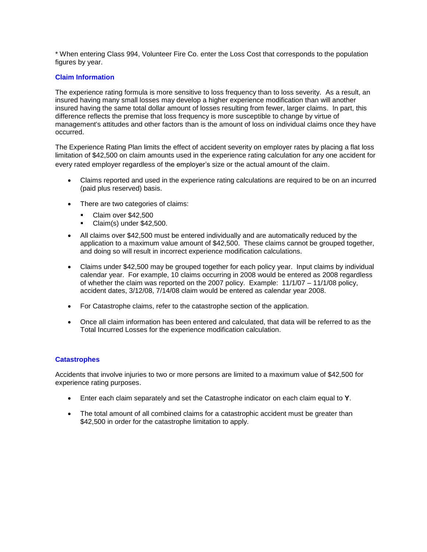\* When entering Class 994, Volunteer Fire Co. enter the Loss Cost that corresponds to the population figures by year.

# <span id="page-2-0"></span>**Claim Information**

The experience rating formula is more sensitive to loss frequency than to loss severity. As a result, an insured having many small losses may develop a higher experience modification than will another insured having the same total dollar amount of losses resulting from fewer, larger claims. In part, this difference reflects the premise that loss frequency is more susceptible to change by virtue of management's attitudes and other factors than is the amount of loss on individual claims once they have occurred.

The Experience Rating Plan limits the effect of accident severity on employer rates by placing a flat loss limitation of \$42,500 on claim amounts used in the experience rating calculation for any one accident for every rated employer regardless of the employer's size or the actual amount of the claim.

- Claims reported and used in the experience rating calculations are required to be on an incurred (paid plus reserved) basis.
- There are two categories of claims:
	- Claim over \$42,500
	- $\blacksquare$  Claim(s) under \$42,500.
- All claims over \$42,500 must be entered individually and are automatically reduced by the application to a maximum value amount of \$42,500. These claims cannot be grouped together, and doing so will result in incorrect experience modification calculations.
- Claims under \$42,500 may be grouped together for each policy year. Input claims by individual calendar year. For example, 10 claims occurring in 2008 would be entered as 2008 regardless of whether the claim was reported on the 2007 policy. Example: 11/1/07 – 11/1/08 policy, accident dates, 3/12/08, 7/14/08 claim would be entered as calendar year 2008.
- For Catastrophe claims, refer to the catastrophe section of the application.
- Once all claim information has been entered and calculated, that data will be referred to as the Total Incurred Losses for the experience modification calculation.

# <span id="page-2-1"></span>**Catastrophes**

Accidents that involve injuries to two or more persons are limited to a maximum value of \$42,500 for experience rating purposes.

- Enter each claim separately and set the Catastrophe indicator on each claim equal to **Y**.
- The total amount of all combined claims for a catastrophic accident must be greater than \$42,500 in order for the catastrophe limitation to apply.